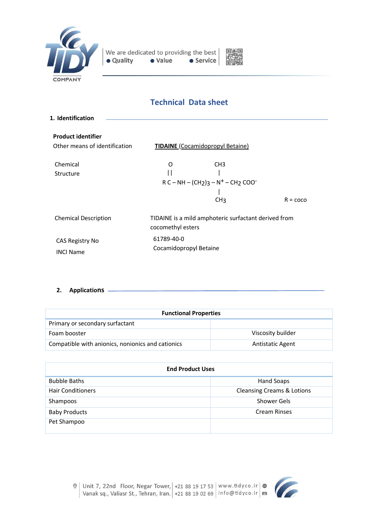



# **Technical Data sheet**

| 1. Identification             |                                     |                                                      |                   |
|-------------------------------|-------------------------------------|------------------------------------------------------|-------------------|
|                               |                                     |                                                      |                   |
| <b>Product identifier</b>     |                                     |                                                      |                   |
| Other means of identification |                                     | <b>TIDAINE</b> (Cocamidopropyl Betaine)              |                   |
| Chemical                      | O                                   | CH <sub>3</sub>                                      |                   |
|                               |                                     |                                                      |                   |
| Structure                     | Н                                   |                                                      |                   |
|                               | $R C - NH - (CH2)3 - N+ - CH2 COO-$ |                                                      |                   |
|                               |                                     |                                                      |                   |
|                               |                                     | CH <sub>3</sub>                                      | $R = \text{coco}$ |
| <b>Chemical Description</b>   | cocomethyl esters                   | TIDAINE is a mild amphoteric surfactant derived from |                   |
| CAS Registry No               | 61789-40-0                          |                                                      |                   |
|                               | Cocamidopropyl Betaine              |                                                      |                   |
| <b>INCI Name</b>              |                                     |                                                      |                   |
|                               |                                     |                                                      |                   |

**2. Applications**

| <b>Functional Properties</b>                      |                         |  |
|---------------------------------------------------|-------------------------|--|
| Primary or secondary surfactant                   |                         |  |
| Foam booster                                      | Viscosity builder       |  |
| Compatible with anionics, nonionics and cationics | <b>Antistatic Agent</b> |  |

| <b>End Product Uses</b>  |                                       |  |
|--------------------------|---------------------------------------|--|
| <b>Bubble Baths</b>      | Hand Soaps                            |  |
| <b>Hair Conditioners</b> | <b>Cleansing Creams &amp; Lotions</b> |  |
| Shampoos                 | Shower Gels                           |  |
| <b>Baby Products</b>     | <b>Cream Rinses</b>                   |  |
| Pet Shampoo              |                                       |  |

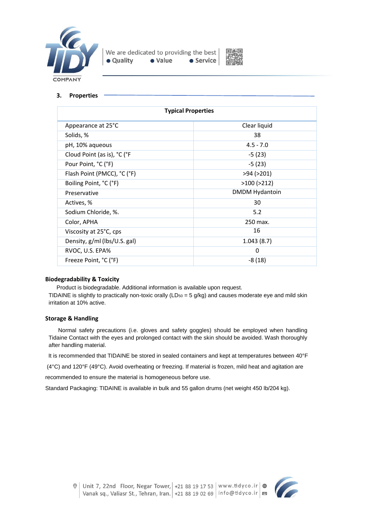



### **3. Properties**

| <b>Typical Properties</b>    |                       |  |
|------------------------------|-----------------------|--|
| Appearance at 25°C           | Clear liquid          |  |
| Solids, %                    | 38                    |  |
| pH, 10% aqueous              | $4.5 - 7.0$           |  |
| Cloud Point (as is), °C (°F  | $-5(23)$              |  |
| Pour Point, °C (°F)          | $-5(23)$              |  |
| Flash Point (PMCC), °C (°F)  | >94 (>201)            |  |
| Boiling Point, °C (°F)       | $>100$ ( $>212$ )     |  |
| Preservative                 | <b>DMDM Hydantoin</b> |  |
| Actives, %                   | 30                    |  |
| Sodium Chloride, %.          | 5.2                   |  |
| Color, APHA                  | 250 max.              |  |
| Viscosity at 25°C, cps       | 16                    |  |
| Density, g/ml (lbs/U.S. gal) | 1.043(8.7)            |  |
| RVOC, U.S. EPA%              | $\Omega$              |  |
| Freeze Point, °C (°F)        | $-8(18)$              |  |

#### **Biodegradability & Toxicity**

Product is biodegradable. Additional information is available upon request.

TIDAINE is slightly to practically non-toxic orally ( $LD_{50} = 5$  g/kg) and causes moderate eye and mild skin irritation at 10% active.

#### **Storage & Handling**

 Normal safety precautions (i.e. gloves and safety goggles) should be employed when handling Tidaine Contact with the eyes and prolonged contact with the skin should be avoided. Wash thoroughly after handling material.

It is recommended that TIDAINE be stored in sealed containers and kept at temperatures between 40°F

(4°C) and 120°F (49°C). Avoid overheating or freezing. If material is frozen, mild heat and agitation are

recommended to ensure the material is homogeneous before use.

Standard Packaging: TIDAINE is available in bulk and 55 gallon drums (net weight 450 lb/204 kg).

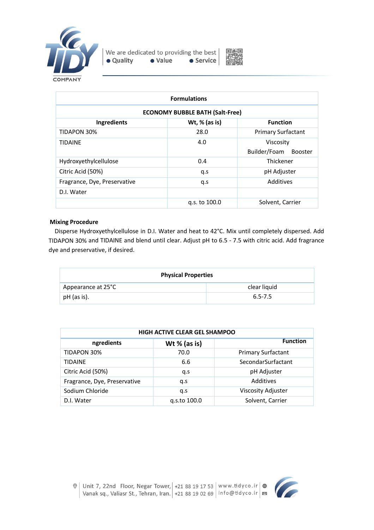



| <b>Formulations</b>                    |                 |                                             |  |
|----------------------------------------|-----------------|---------------------------------------------|--|
| <b>ECONOMY BUBBLE BATH (Salt-Free)</b> |                 |                                             |  |
| Ingredients                            | Wt, $%$ (as is) | <b>Function</b>                             |  |
| <b>TIDAPON 30%</b>                     | 28.0            | <b>Primary Surfactant</b>                   |  |
| <b>TIDAINE</b>                         | 4.0             | Viscosity<br>Builder/Foam<br><b>Booster</b> |  |
| Hydroxyethylcellulose                  | 0.4             | Thickener                                   |  |
| Citric Acid (50%)                      | q.s             | pH Adjuster                                 |  |
| Fragrance, Dye, Preservative           | q.s             | Additives                                   |  |
| D.I. Water                             |                 |                                             |  |
|                                        | g.s. to 100.0   | Solvent, Carrier                            |  |

## **Mixing Procedure**

 Disperse Hydroxyethylcellulose in D.I. Water and heat to 42°C. Mix until completely dispersed. Add TIDAPON 30% and TIDAINE and blend until clear. Adjust pH to 6.5 - 7.5 with citric acid. Add fragrance dye and preservative, if desired.

| <b>Physical Properties</b> |              |  |
|----------------------------|--------------|--|
| Appearance at 25°C         | clear liquid |  |
| pH (as is).                | $6.5 - 7.5$  |  |

| <b>HIGH ACTIVE CLEAR GEL SHAMPOO</b> |                |                           |  |
|--------------------------------------|----------------|---------------------------|--|
| ngredients                           | Wt $%$ (as is) | <b>Function</b>           |  |
| TIDAPON 30%                          | 70.0           | <b>Primary Surfactant</b> |  |
| <b>TIDAINE</b>                       | 6.6            | SecondarSurfactant        |  |
| Citric Acid (50%)                    | q.s            | pH Adjuster               |  |
| Fragrance, Dye, Preservative         | q.s            | Additives                 |  |
| Sodium Chloride                      | q.s            | Viscosity Adjuster        |  |
| D.I. Water                           | g.s.to 100.0   | Solvent, Carrier          |  |